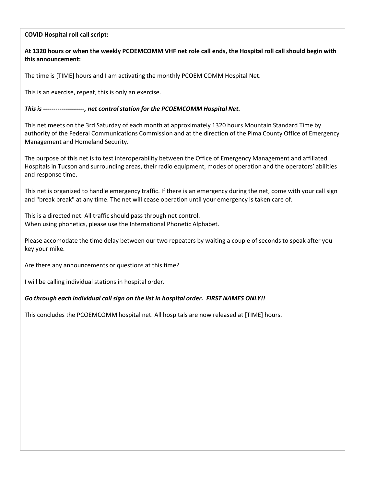## **COVID Hospital roll call script:**

## **At 1320 hours or when the weekly PCOEMCOMM VHF net role call ends, the Hospital roll call should begin with this announcement:**

The time is [TIME] hours and I am activating the monthly PCOEM COMM Hospital Net.

This is an exercise, repeat, this is only an exercise.

*This is --------------------, net control station for the PCOEMCOMM Hospital Net.*

This net meets on the 3rd Saturday of each month at approximately 1320 hours Mountain Standard Time by authority of the Federal Communications Commission and at the direction of the Pima County Office of Emergency Management and Homeland Security.

The purpose of this net is to test interoperability between the Office of Emergency Management and affiliated Hospitals in Tucson and surrounding areas, their radio equipment, modes of operation and the operators' abilities and response time.

This net is organized to handle emergency traffic. If there is an emergency during the net, come with your call sign and "break break" at any time. The net will cease operation until your emergency is taken care of.

This is a directed net. All traffic should pass through net control. When using phonetics, please use the International Phonetic Alphabet.

Please accomodate the time delay between our two repeaters by waiting a couple of seconds to speak after you key your mike.

Are there any announcements or questions at this time?

I will be calling individual stations in hospital order.

## *Go through each individual call sign on the list in hospital order. FIRST NAMES ONLY!!*

This concludes the PCOEMCOMM hospital net. All hospitals are now released at [TIME] hours.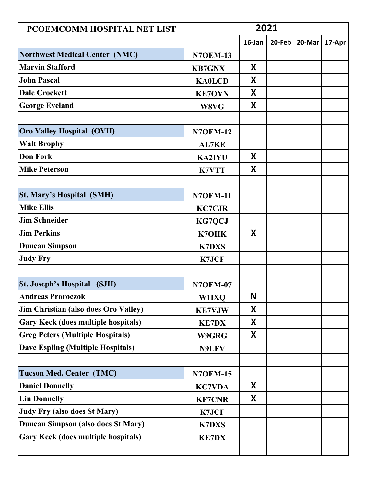| PCOEMCOMM HOSPITAL NET LIST                | 2021            |        |        |        |        |  |
|--------------------------------------------|-----------------|--------|--------|--------|--------|--|
|                                            |                 | 16-Jan | 20-Feb | 20-Mar | 17-Apr |  |
| <b>Northwest Medical Center (NMC)</b>      | <b>N7OEM-13</b> |        |        |        |        |  |
| <b>Marvin Stafford</b>                     | <b>KB7GNX</b>   | X      |        |        |        |  |
| <b>John Pascal</b>                         | <b>KAOLCD</b>   | X      |        |        |        |  |
| <b>Dale Crockett</b>                       | <b>KE7OYN</b>   | X      |        |        |        |  |
| <b>George Eveland</b>                      | W8VG            | X      |        |        |        |  |
|                                            |                 |        |        |        |        |  |
| <b>Oro Valley Hospital (OVH)</b>           | <b>N7OEM-12</b> |        |        |        |        |  |
| <b>Walt Brophy</b>                         | <b>AL7KE</b>    |        |        |        |        |  |
| <b>Don Fork</b>                            | <b>KA2IYU</b>   | X      |        |        |        |  |
| <b>Mike Peterson</b>                       | <b>K7VTT</b>    | X      |        |        |        |  |
|                                            |                 |        |        |        |        |  |
| <b>St. Mary's Hospital (SMH)</b>           | <b>N7OEM-11</b> |        |        |        |        |  |
| <b>Mike Ellis</b>                          | <b>KC7CJR</b>   |        |        |        |        |  |
| <b>Jim Schneider</b>                       | <b>KG7QCJ</b>   |        |        |        |        |  |
| <b>Jim Perkins</b>                         | K7OHK           | X      |        |        |        |  |
| <b>Duncan Simpson</b>                      | <b>K7DXS</b>    |        |        |        |        |  |
| <b>Judy Fry</b>                            | <b>K7JCF</b>    |        |        |        |        |  |
|                                            |                 |        |        |        |        |  |
| <b>St. Joseph's Hospital</b><br>(SJH)      | <b>N7OEM-07</b> |        |        |        |        |  |
| <b>Andreas Proroczok</b>                   | <b>W1IXQ</b>    | N      |        |        |        |  |
| Jim Christian (also does Oro Valley)       | <b>KE7VJW</b>   | X      |        |        |        |  |
| <b>Gary Keck (does multiple hospitals)</b> | <b>KE7DX</b>    | X      |        |        |        |  |
| <b>Greg Peters (Multiple Hospitals)</b>    | W9GRG           | X      |        |        |        |  |
| <b>Dave Espling (Multiple Hospitals)</b>   | N9LFV           |        |        |        |        |  |
|                                            |                 |        |        |        |        |  |
| <b>Tucson Med. Center (TMC)</b>            | <b>N7OEM-15</b> |        |        |        |        |  |
| <b>Daniel Donnelly</b>                     | <b>KC7VDA</b>   | X      |        |        |        |  |
| <b>Lin Donnelly</b>                        | <b>KF7CNR</b>   | X      |        |        |        |  |
| <b>Judy Fry (also does St Mary)</b>        | <b>K7JCF</b>    |        |        |        |        |  |
| <b>Duncan Simpson (also does St Mary)</b>  | <b>K7DXS</b>    |        |        |        |        |  |
| <b>Gary Keck (does multiple hospitals)</b> | <b>KE7DX</b>    |        |        |        |        |  |
|                                            |                 |        |        |        |        |  |